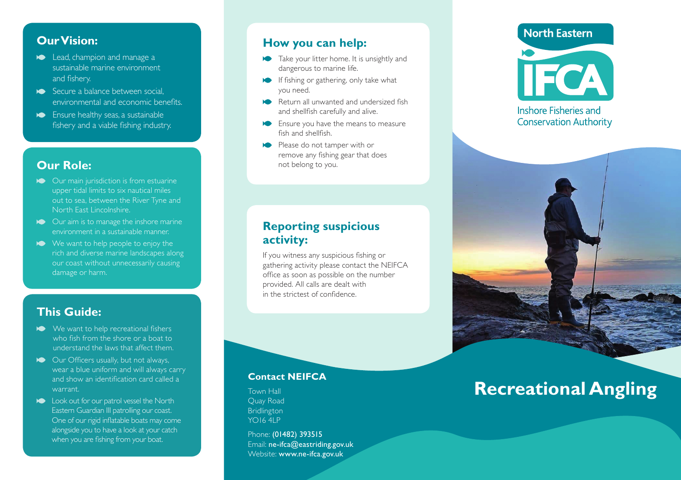# **Our Vision:**

- **Lead, champion and manage a** sustainable marine environment and fishery.
- Secure a balance between social, environmental and economic benefits.
- Ensure healthy seas, a sustainable fishery and a viable fishing industry.

# **Our Role:**

- Our main jurisdiction is from estuarine upper tidal limits to six nautical miles out to sea, between the River Tyne and North East Lincolnshire.
- **Our aim is to manage the inshore marine** environment in a sustainable manner.
- We want to help people to enjoy the rich and diverse marine landscapes along our coast without unnecessarily causing damage or harm.

# **This Guide:**

- We want to help recreational fishers who fish from the shore or a boat to understand the laws that affect them.
- **Our Officers usually, but not always,** wear a blue uniform and will always carry and show an identification card called a warrant.
- **Look out for our patrol vessel the North** Eastern Guardian III patrolling our coast. One of our rigid inflatable boats may come alongside you to have a look at your catch when you are fishing from your boat.

# **How you can help:**

- Take your litter home. It is unsightly and dangerous to marine life.
- If fishing or gathering, only take what you need.
- Return all unwanted and undersized fish and shellfish carefully and alive.
- **Ensure you have the means to measure** fish and shellfish.
- Please do not tamper with or remove any fishing gear that does not belong to you.

# **Reporting suspicious activity:**

If you witness any suspicious fishing or gathering activity please contact the NEIFCA office as soon as possible on the number provided. All calls are dealt with in the strictest of confidence.

#### **Contact NEIFCA**

Town Hall Quay Road Bridlington YO16 4LP

Phone: (01482) 393515 Email: ne-ifca@eastriding.gov.uk Website: www.ne-ifca.gov.uk

# **North Eastern**



#### Inshore Fisheries and **Conservation Authority**



# **Recreational Angling**